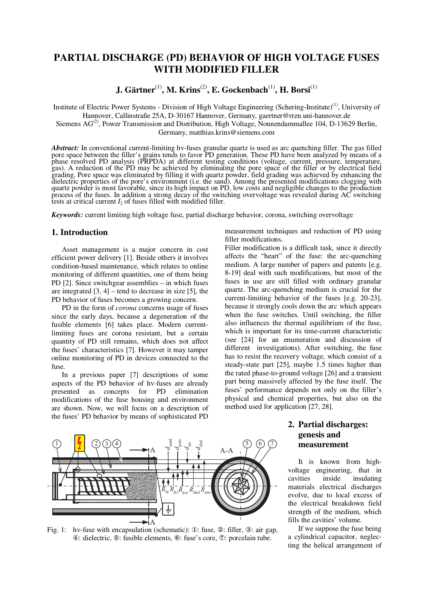# **PARTIAL DISCHARGE (PD) BEHAVIOR OF HIGH VOLTAGE FUSES WITH MODIFIED FILLER**

**J. Gärtner**(1)**, M. Krins**(2)**, E. Gockenbach**(1)**, H. Borsi**(1)

Institute of Electric Power Systems - Division of High Voltage Engineering (Schering-Institute)<sup>(1)</sup>, University of Hannover, Callinstraße 25A, D-30167 Hannover, Germany, gaertner@rrzn.uni-hannover.de Siemens AG<sup>(2)</sup>, Power Transmission and Distribution, High Voltage, Nonnendammallee 104, D-13629 Berlin,

Germany, matthias.krins@siemens.com

*Abstract:* In conventional current-limiting hv-fuses granular quartz is used as arc quenching filler. The gas filled pore space between the filler's grains tends to favor PD generation. These PD have been analyzed by means of a phase resolved PD analysis (PRPDA) at different testing conditions (voltage, current, pressure, temperature, gas). A reduction of the PD may be achieved by eliminating the pore space of the filler or by electrical field grading. Pore space was eliminated by filling it with quartz powder, field grading was achieved by enhancing the dielectric properties of the pore's environment (i.e. the sand). Among the presented modifications clogging with quartz powder is most favorable, since its high impact on PD, low costs and negligible changes to the production process of the fuses. In addition a strong decay of the switching overvoltage was revealed during AC switching tests at critical current  $I_2$  of fuses filled with modified filler.

*Keywords:* current limiting high voltage fuse, partial discharge behavior, corona, switching overvoltage

# **1. Introduction**

Asset management is a major concern in cost efficient power delivery [1]. Beside others it involves condition-based maintenance, which relates to online monitoring of different quantities, one of them being PD [2]. Since switchgear assemblies – in which fuses are integrated  $[3, 4]$  – tend to decrease in size  $[5]$ , the PD behavior of fuses becomes a growing concern.

PD in the form of *corona* concerns usage of fuses since the early days, because a degeneration of the fusible elements [6] takes place. Modern currentlimiting fuses are corona resistant, but a certain quantity of PD still remains, which does not affect the fuses' characteristics [7]. However it may tamper online monitoring of PD in devices connected to the fuse.

In a previous paper [7] descriptions of some aspects of the PD behavior of hv-fuses are already presented as concepts for PD elimination modifications of the fuse housing and environment are shown. Now, we will focus on a description of the fuses' PD behavior by means of sophisticated PD

measurement techniques and reduction of PD using filler modifications.

Filler modification is a difficult task, since it directly affects the "heart" of the fuse: the arc-quenching medium. A large number of papers and patents [e.g. 8-19] deal with such modifications, but most of the fuses in use are still filled with ordinary granular quartz. The arc-quenching medium is crucial for the current-limiting behavior of the fuses [e.g. 20-23], because it strongly cools down the arc which appears when the fuse switches. Until switching, the filler also influences the thermal equilibrium of the fuse, which is important for its time-current characteristic (see [24] for an enumeration and discussion of different investigations). After switching, the fuse has to resist the recovery voltage, which consist of a steady-state part [25], maybe 1.5 times higher than the rated phase-to-ground voltage [26] and a transient part being massively affected by the fuse itself. The fuses' performance depends not only on the filler's physical and chemical properties, but also on the method used for application [27, 28].



Fig. 1: hv-fuse with encapsulation (schematic): ①: fuse, ②: filler, ③: air gap, ④: dielectric, ⑤: fusible elements, ⑥: fuse's core, ⑦: porcelain tube.

# **2. Partial discharges: genesis and measurement**

It is known from highvoltage engineering, that in cavities inside insulating materials electrical discharges evolve, due to local excess of the electrical breakdown field strength of the medium, which fills the cavities' volume.

If we suppose the fuse being a cylindrical capacitor, neglecting the helical arrangement of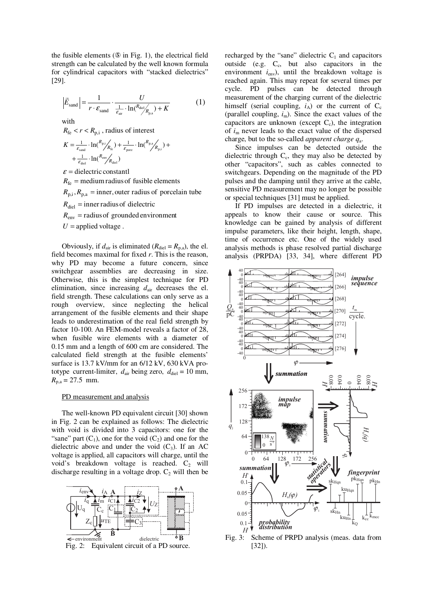the fusible elements (⑤ in Fig. 1), the electrical field strength can be calculated by the well known formula for cylindrical capacitors with "stacked dielectrics" [29].

$$
\left|\vec{E}_{\text{sand}}\right| = \frac{1}{r \cdot \varepsilon_{\text{sand}}} \cdot \frac{U}{\frac{1}{\varepsilon_{\text{air}}} \cdot \ln(\frac{R_{\text{diel}}}{R_{\text{pa}}}) + K} \tag{1}
$$

with

 $R_{\text{fe}} < r < R_{\text{n,i}}$ , radius of interest

$$
K = \frac{1}{\varepsilon_{\text{sand}}} \cdot \ln({}^{R_{\text{p},i}}/_{R_{\text{fc}}}) + \frac{1}{\varepsilon_{\text{porz}}} \cdot \ln({}^{R_{\text{p},a}}/_{R_{\text{p},i}}) + + \frac{1}{\varepsilon_{\text{diel}}} \cdot \ln({}^{R_{\text{env}}}/_{R_{\text{diel}}})
$$

 $\varepsilon$  = dielectric constantl

 $R_f =$  medium radius of fusible elements

 $R_{p,i}$ ,  $R_{p,a}$  = inner, outer radius of porcelain tube

 $R_{diel}$  = inner radius of dielectric

 $R_{env}$  = radius of grounded environment

 $U =$ applied voltage.

Obviously, if  $d_{\text{air}}$  is eliminated ( $R_{\text{diel}} = R_{\text{p,a}}$ ), the el. field becomes maximal for fixed *r*. This is the reason, why PD may become a future concern, since switchgear assemblies are decreasing in size. Otherwise, this is the simplest technique for PD elimination, since increasing  $d_{\text{air}}$  decreases the el. field strength. These calculations can only serve as a rough overview, since neglecting the helical arrangement of the fusible elements and their shape leads to underestimation of the real field strength by factor 10-100. An FEM-model reveals a factor of 28, when fusible wire elements with a diameter of 0.15 mm and a length of 600 cm are considered. The calculated field strength at the fusible elements' surface is 13.7 kV/mm for an 6/12 kV, 630 kVA prototype current-limiter,  $d_{air}$  being zero,  $d_{diel} = 10$  mm,  $R_{p,a} = 27.5$  mm.

## PD measurement and analysis

The well-known PD equivalent circuit [30] shown in Fig. 2 can be explained as follows: The dielectric with void is divided into 3 capacitors: one for the "sane" part  $(C_1)$ , one for the void  $(C_2)$  and one for the dielectric above and under the void  $(C_3)$ . If an AC voltage is applied, all capacitors will charge, until the void's breakdown voltage is reached.  $C_2$  will discharge resulting in a voltage drop.  $C_2$  will then be



recharged by the "sane" dielectric  $C_1$  and capacitors outside (e.g.  $C_c$ , but also capacitors in the environment  $i_{env}$ ), until the breakdown voltage is reached again. This may repeat for several times per cycle. PD pulses can be detected through measurement of the charging current of the dielectric himself (serial coupling,  $i_A$ ) or the current of  $C_c$ (parallel coupling,  $i_m$ ). Since the exact values of the capacitors are unknown (except  $C_c$ ), the integration of *i*<sup>m</sup> never leads to the exact value of the dispersed charge, but to the so-called *apparent charge q*<sup>a</sup> .

Since impulses can be detected outside the dielectric through  $C_c$ , they may also be detected by other "capacitors", such as cables connected to switchgears. Depending on the magnitude of the PD pulses and the damping until they arrive at the cable, sensitive PD measurement may no longer be possible or special techniques [31] must be applied.

If PD impulses are detected in a dielectric, it appeals to know their cause or source. This knowledge can be gained by analysis of different impulse parameters, like their height, length, shape, time of occurrence etc. One of the widely used analysis methods is phase resolved partial discharge analysis (PRPDA) [33, 34], where different PD



Fig. 3: Scheme of PRPD analysis (meas. data from [32]).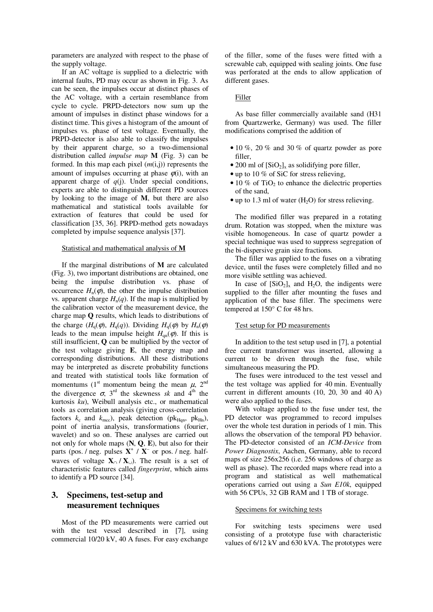parameters are analyzed with respect to the phase of the supply voltage.

If an AC voltage is supplied to a dielectric with internal faults, PD may occur as shown in Fig. 3. As can be seen, the impulses occur at distinct phases of the AC voltage, with a certain resemblance from cycle to cycle. PRPD-detectors now sum up the amount of impulses in distinct phase windows for a distinct time. This gives a histogram of the amount of impulses vs. phase of test voltage. Eventually, the PRPD-detector is also able to classify the impulses by their apparent charge, so a two-dimensional distribution called *impulse map* **M** (Fig. 3) can be formed. In this map each pixel (*m*(i,j)) represents the amount of impulses occurring at phase  $\varphi(i)$ , with an apparent charge of  $q(i)$ . Under special conditions, experts are able to distinguish different PD sources by looking to the image of **M**, but there are also mathematical and statistical tools available for extraction of features that could be used for classification [35, 36]. PRPD-method gets nowadays completed by impulse sequence analysis [37].

#### Statistical and mathematical analysis of **M**

If the marginal distributions of **M** are calculated (Fig. 3), two important distributions are obtained, one being the impulse distribution vs. phase of occurrence  $H_n(\varphi)$ , the other the impulse distribution vs. apparent charge  $H_n(q)$ . If the map is multiplied by the calibration vector of the measurement device, the charge map **Q** results, which leads to distributions of the charge  $(H_q(\varphi), H_q(q))$ . Dividing  $H_q(\varphi)$  by  $H_n(\varphi)$ leads to the mean impulse height  $H_{\text{on}}(\varphi)$ . If this is still insufficient, **Q** can be multiplied by the vector of the test voltage giving **E**, the energy map and corresponding distributions. All these distributions may be interpreted as discrete probability functions and treated with statistical tools like formation of momentums (1<sup>st</sup> momentum being the mean  $\mu$ , 2<sup>nd</sup> the divergence  $\sigma$ , 3<sup>rd</sup> the skewness *sk* and 4<sup>th</sup> the kurtosis *ku*), Weibull analysis etc., or mathematical tools as correlation analysis (giving cross-correlation factors  $k_c$  and  $k_{\text{mcc}}$ ), peak detection (p $k_{\text{Hqn}}$ , p $k_{\text{Hn}}$ ), point of inertia analysis, transformations (fourier, wavelet) and so on. These analyses are carried out not only for whole maps (**N**, **Q**, **E**), but also for their parts (pos. / neg. pulses  $X^+$  /  $X^-$  or pos. / neg. halfwaves of voltage  $X_0 / X_0$ ). The result is a set of characteristic features called *fingerprint*, which aims to identify a PD source [34].

# **3. Specimens, test-setup and measurement techniques**

Most of the PD measurements were carried out with the test vessel described in [7], using commercial 10/20 kV, 40 A fuses. For easy exchange of the filler, some of the fuses were fitted with a screwable cab, equipped with sealing joints. One fuse was perforated at the ends to allow application of different gases.

#### Filler

As base filler commercially available sand (H31 from Quartzwerke, Germany) was used. The filler modifications comprised the addition of

- $\bullet$  10 %, 20 % and 30 % of quartz powder as pore filler,
- 200 ml of  $[SiO_2]_x$  as solidifying pore filler,
- up to 10 % of SiC for stress relieving,
- $\bullet$  10 % of TiO<sub>2</sub> to enhance the dielectric properties of the sand,
- up to 1.3 ml of water  $(H_2O)$  for stress relieving.

The modified filler was prepared in a rotating drum. Rotation was stopped, when the mixture was visible homogeneous. In case of quartz powder a special technique was used to suppress segregation of the bi-dispersive grain size fractions.

The filler was applied to the fuses on a vibrating device, until the fuses were completely filled and no more visible settling was achieved.

In case of  $[SiO_2]_x$  and  $H_2O$ , the indigents were supplied to the filler after mounting the fuses and application of the base filler. The specimens were tempered at 150° C for 48 hrs.

#### Test setup for PD measurements

In addition to the test setup used in [7], a potential free current transformer was inserted, allowing a current to be driven through the fuse, while simultaneous measuring the PD.

The fuses were introduced to the test vessel and the test voltage was applied for 40 min. Eventually current in different amounts (10, 20, 30 and 40 A) were also applied to the fuses.

With voltage applied to the fuse under test, the PD detector was programmed to record impulses over the whole test duration in periods of 1 min. This allows the observation of the temporal PD behavior. The PD-detector consisted of an *ICM-Device* from *Power Diagnostix*, Aachen, Germany, able to record maps of size 256x256 (i.e. 256 windows of charge as well as phase). The recorded maps where read into a program and statistical as well mathematical operations carried out using a *Sun E10k*, equipped with 56 CPUs, 32 GB RAM and 1 TB of storage.

#### Specimens for switching tests

For switching tests specimens were used consisting of a prototype fuse with characteristic values of 6/12 kV and 630 kVA. The prototypes were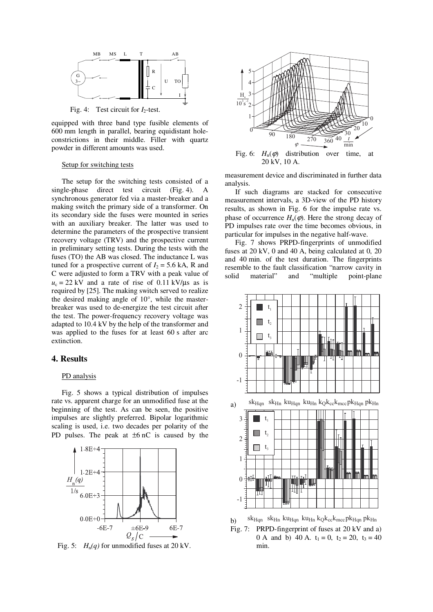

Fig. 4: Test circuit for *I*<sub>2</sub>-test.

equipped with three band type fusible elements of 600 mm length in parallel, bearing equidistant holeconstrictions in their middle. Filler with quartz powder in different amounts was used.

## Setup for switching tests

The setup for the switching tests consisted of a single-phase direct test circuit (Fig. 4). A synchronous generator fed via a master-breaker and a making switch the primary side of a transformer. On its secondary side the fuses were mounted in series with an auxiliary breaker. The latter was used to determine the parameters of the prospective transient recovery voltage (TRV) and the prospective current in preliminary setting tests. During the tests with the fuses (TO) the AB was closed. The inductance L was tuned for a prospective current of  $I_2 = 5.6$  kA, R and C were adjusted to form a TRV with a peak value of  $u_c = 22$  kV and a rate of rise of 0.11 kV/ $\mu$ s as is required by [25]. The making switch served to realize the desired making angle of 10°, while the masterbreaker was used to de-energize the test circuit after the test. The power-frequency recovery voltage was adapted to 10.4 kV by the help of the transformer and was applied to the fuses for at least 60 s after arc extinction.

## **4. Results**

### PD analysis

Fig. 5 shows a typical distribution of impulses rate vs. apparent charge for an unmodified fuse at the beginning of the test. As can be seen, the positive impulses are slightly preferred. Bipolar logarithmic scaling is used, i.e. two decades per polarity of the PD pulses. The peak at  $\pm 6$  nC is caused by the



Fig. 5:  $H_n(q)$  for unmodified fuses at 20 kV.



measurement device and discriminated in further data analysis.

If such diagrams are stacked for consecutive measurement intervals, a 3D-view of the PD history results, as shown in Fig. 6 for the impulse rate vs. phase of occurrence  $H_n(\varphi)$ . Here the strong decay of PD impulses rate over the time becomes obvious, in particular for impulses in the negative half-wave.

Fig. 7 shows PRPD-fingerprints of unmodified fuses at 20 kV, 0 and 40 A, being calculated at 0, 20 and 40 min. of the test duration. The fingerprints resemble to the fault classification "narrow cavity in solid material" and "multiple point-plane



b) Fig. 7: PRPD-fingerprint of fuses at 20 kV and a) 0 A and b) 40 A.  $t_1 = 0$ ,  $t_2 = 20$ ,  $t_3 = 40$ min.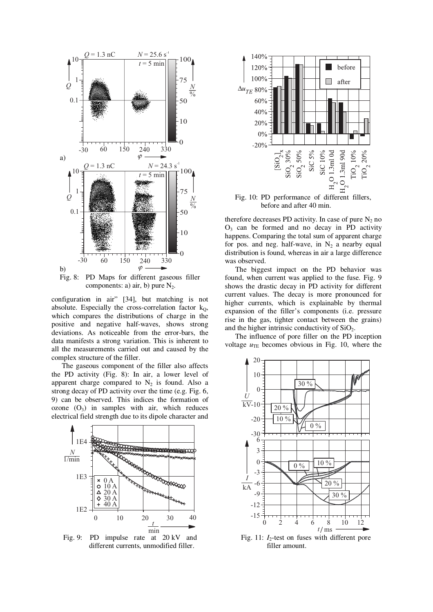

components: a) air, b) pure  $N_2$ .

configuration in air" [34], but matching is not absolute. Especially the cross-correlation factor  $k_0$ , which compares the distributions of charge in the positive and negative half-waves, shows strong deviations. As noticeable from the error-bars, the data manifests a strong variation. This is inherent to all the measurements carried out and caused by the complex structure of the filler.

The gaseous component of the filler also affects the PD activity (Fig. 8): In air, a lower level of apparent charge compared to  $N_2$  is found. Also a strong decay of PD activity over the time (e.g. Fig. 6, 9) can be observed. This indices the formation of ozone  $(O_3)$  in samples with air, which reduces electrical field strength due to its dipole character and



Fig. 9: PD impulse rate at 20 kV and different currents, unmodified filler.



Fig. 10: PD performance of different fillers, before and after 40 min.

therefore decreases PD activity. In case of pure  $N_2$  no  $O<sub>3</sub>$  can be formed and no decay in PD activity happens. Comparing the total sum of apparent charge for pos. and neg. half-wave, in  $N_2$  a nearby equal distribution is found, whereas in air a large difference was observed.

The biggest impact on the PD behavior was found, when current was applied to the fuse. Fig. 9 shows the drastic decay in PD activity for different current values. The decay is more pronounced for higher currents, which is explainable by thermal expansion of the filler's components (i.e. pressure rise in the gas, tighter contact between the grains) and the higher intrinsic conductivity of  $SiO<sub>2</sub>$ .

The influence of pore filler on the PD inception voltage  $u_{TE}$  becomes obvious in Fig. 10, where the



Fig. 11:  $I_2$ -test on fuses with different pore filler amount.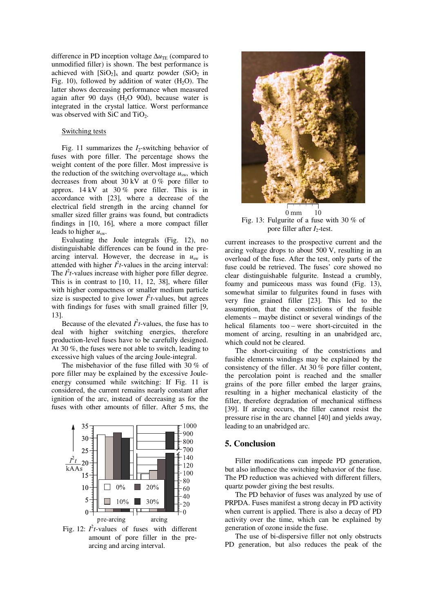difference in PD inception voltage Δ*u*<sub>TE</sub> (compared to unmodified filler) is shown. The best performance is achieved with  $[SiO_2]_x$  and quartz powder  $(SiO_2)$  in Fig. 10), followed by addition of water  $(H_2O)$ . The latter shows decreasing performance when measured again after 90 days  $(H<sub>2</sub>O 90d)$ , because water is integrated in the crystal lattice. Worst performance was observed with SiC and TiO<sub>2</sub>.

### Switching tests

Fig. 11 summarizes the *I*<sub>2</sub>-switching behavior of fuses with pore filler. The percentage shows the weight content of the pore filler. Most impressive is the reduction of the switching overvoltage  $u_{sw}$ , which decreases from about 30 kV at  $0\%$  pore filler to approx. 14 kV at 30 % pore filler. This is in accordance with [23], where a decrease of the electrical field strength in the arcing channel for smaller sized filler grains was found, but contradicts findings in [10, 16], where a more compact filler leads to higher *u*sw.

Evaluating the Joule integrals (Fig. 12), no distinguishable differences can be found in the prearcing interval. However, the decrease in  $u_{sw}$  is attended with higher  $I^2t$ -values in the arcing interval: The  $I^2t$ -values increase with higher pore filler degree. This is in contrast to [10, 11, 12, 38], where filler with higher compactness or smaller medium particle size is suspected to give lower  $l^2t$ -values, but agrees with findings for fuses with small grained filler [9, 13].

Because of the elevated  $I^2t$ -values, the fuse has to deal with higher switching energies, therefore production-level fuses have to be carefully designed. At 30 %, the fuses were not able to switch, leading to excessive high values of the arcing Joule-integral.

The misbehavior of the fuse filled with 30 % of pore filler may be explained by the excessive Jouleenergy consumed while switching: If Fig. 11 is considered, the current remains nearly constant after ignition of the arc, instead of decreasing as for the fuses with other amounts of filler. After 5 ms, the



Fig. 12:  $I^2t$ -values of fuses with different amount of pore filler in the prearcing and arcing interval.



 $0 \text{ mm}$  10 Fig. 13: Fulgurite of a fuse with 30 % of pore filler after *I*<sub>2</sub>-test.

current increases to the prospective current and the arcing voltage drops to about 500 V, resulting in an overload of the fuse. After the test, only parts of the fuse could be retrieved. The fuses' core showed no clear distinguishable fulgurite. Instead a crumbly, foamy and pumiceous mass was found (Fig. 13), somewhat similar to fulgurites found in fuses with very fine grained filler [23]. This led to the assumption, that the constrictions of the fusible elements – maybe distinct or several windings of the helical filaments too – were short-circuited in the moment of arcing, resulting in an unabridged arc, which could not be cleared.

The short-circuiting of the constrictions and fusible elements windings may be explained by the consistency of the filler. At 30 % pore filler content, the percolation point is reached and the smaller grains of the pore filler embed the larger grains, resulting in a higher mechanical elasticity of the filler, therefore degradation of mechanical stiffness [39]. If arcing occurs, the filler cannot resist the pressure rise in the arc channel [40] and yields away, leading to an unabridged arc.

# **5. Conclusion**

Filler modifications can impede PD generation, but also influence the switching behavior of the fuse. The PD reduction was achieved with different fillers, quartz powder giving the best results.

The PD behavior of fuses was analyzed by use of PRPDA. Fuses manifest a strong decay in PD activity when current is applied. There is also a decay of PD activity over the time, which can be explained by generation of ozone inside the fuse.

The use of bi-dispersive filler not only obstructs PD generation, but also reduces the peak of the